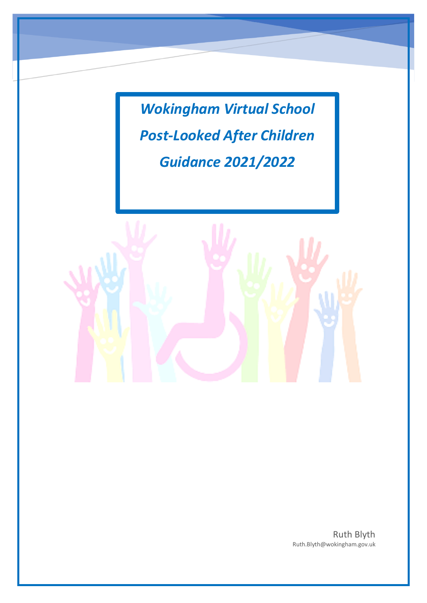*Wokingham Virtual School Post-Looked After Children Guidance 2021/2022*



Ruth Blyth Ruth.Blyth@wokingham.gov.uk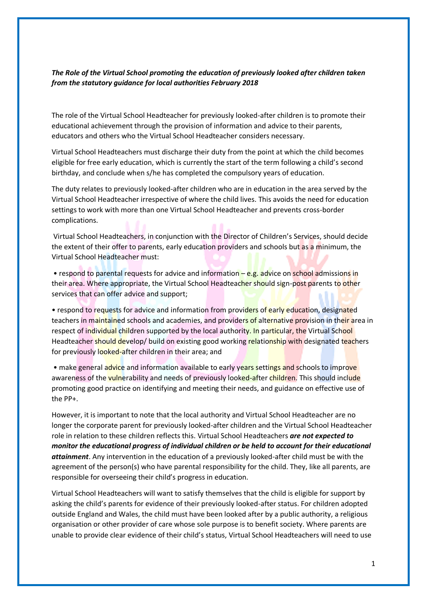## *The Role of the Virtual School promoting the education of previously looked after children taken from the statutory guidance for local authorities February 2018*

The role of the Virtual School Headteacher for previously looked-after children is to promote their educational achievement through the provision of information and advice to their parents, educators and others who the Virtual School Headteacher considers necessary.

Virtual School Headteachers must discharge their duty from the point at which the child becomes eligible for free early education, which is currently the start of the term following a child's second birthday, and conclude when s/he has completed the compulsory years of education.

The duty relates to previously looked-after children who are in education in the area served by the Virtual School Headteacher irrespective of where the child lives. This avoids the need for education settings to work with more than one Virtual School Headteacher and prevents cross-border complications.

Virtual School Headteachers, in conjunction with the Director of Children's Services, should decide the extent of their offer to parents, early education providers and schools but as a minimum, the Virtual School Headteacher must:

• respond to parental requests for advice and information – e.g. advice on school admissions in their area. Where appropriate, the Virtual School Headteacher should sign-post parents to other services that can offer advice and support;

• respond to requests for advice and information from providers of early education, designated teachers in maintained schools and academies, and providers of alternative provision in their area in respect of individual children supported by the local authority. In particular, the Virtual School Headteacher should develop/ build on existing good working relationship with designated teachers for previously looked-after children in their area; and

• make general advice and information available to early years settings and schools to improve awareness of the *vulnerability and needs of previously looked-after children*. This should include promoting good practice on identifying and meeting their needs, and guidance on effective use of the PP+.

However, it is important to note that the local authority and Virtual School Headteacher are no longer the corporate parent for previously looked-after children and the Virtual School Headteacher role in relation to these children reflects this. Virtual School Headteachers *are not expected to monitor the educational progress of individual children or be held to account for their educational attainment*. Any intervention in the education of a previously looked-after child must be with the agreement of the person(s) who have parental responsibility for the child. They, like all parents, are responsible for overseeing their child's progress in education.

Virtual School Headteachers will want to satisfy themselves that the child is eligible for support by asking the child's parents for evidence of their previously looked-after status. For children adopted outside England and Wales, the child must have been looked after by a public authority, a religious organisation or other provider of care whose sole purpose is to benefit society. Where parents are unable to provide clear evidence of their child's status, Virtual School Headteachers will need to use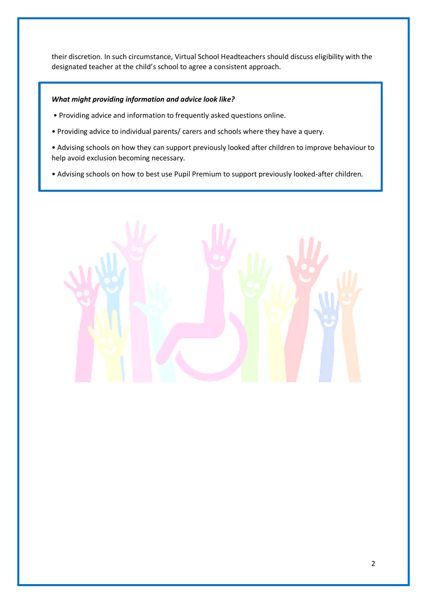their discretion. In such circumstance, Virtual School Headteachers should discuss eligibility with the designated teacher at the child's school to agree a consistent approach.

## *What might providing information and advice look like?*

- Providing advice and information to frequently asked questions online.
- Providing advice to individual parents/ carers and schools where they have a query.
- Advising schools on how they can support previously looked after children to improve behaviour to help avoid exclusion becoming necessary.
- Advising schools on how to best use Pupil Premium to support previously looked-after children.

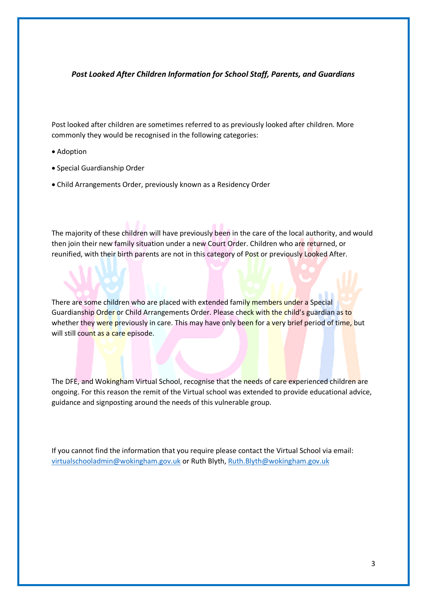#### *Post Looked After Children Information for School Staff, Parents, and Guardians*

Post looked after children are sometimes referred to as previously looked after children. More commonly they would be recognised in the following categories:

- Adoption
- Special Guardianship Order
- Child Arrangements Order, previously known as a Residency Order

The majority of these children will have previously been in the care of the local authority, and would then join their new family situation under a new Court Order. Children who are returned, or reunified, with their birth parents are not in this category of Post or previously Looked After.

There are some children who are placed with extended family members under a Special Guardianship Order or Child Arrangements Order. Please check with the child's guardian as to whether they were previously in care. This may have only been for a very brief period of time, but will still count as a care episode.

The DFE, and Wokingham Virtual School, recognise that the needs of care experienced children are ongoing. For this reason the remit of the Virtual school was extended to provide educational advice, guidance and signposting around the needs of this vulnerable group.

If you cannot find the information that you require please contact the Virtual School via email: [virtualschooladmin@wokingham.gov.uk](mailto:virtualschooladmin@wokingham.gov.uk) or Ruth Blyth, [Ruth.Blyth@wokingham.gov.uk](mailto:Ruth.Blyth@wokingham.gov.uk)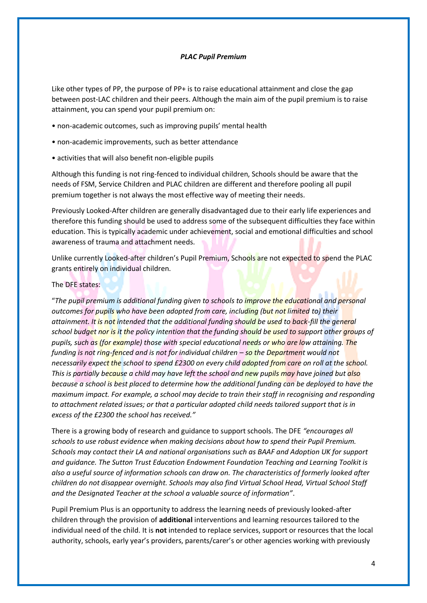#### *PLAC Pupil Premium*

Like other types of PP, the purpose of PP+ is to raise educational attainment and close the gap between post-LAC children and their peers. Although the main aim of the pupil premium is to raise attainment, you can spend your pupil premium on:

- non-academic outcomes, such as improving pupils' mental health
- non-academic improvements, such as better attendance
- activities that will also benefit non-eligible pupils

Although this funding is not ring-fenced to individual children, Schools should be aware that the needs of FSM, Service Children and PLAC children are different and therefore pooling all pupil premium together is not always the most effective way of meeting their needs.

Previously Looked-After children are generally disadvantaged due to their early life experiences and therefore this funding should be used to address some of the subsequent difficulties they face within education. This is typically academic under achievement, social and emotional difficulties and school awareness of trauma and attachment needs.

Unlike currently Looked-after children's Pupil Premium, Schools are not expected to spend the PLAC grants entirely on individual children.

#### The DFE states:

"*The pupil premium is additional funding given to schools to improve the educational and personal outcomes for pupils who have been adopted from care, including (but not limited to) their attainment. It is not intended that the additional funding should be used to back-fill the general school budget nor is it the policy intention that the funding should be used to support other groups of pupils, such as (for example) those with special educational needs or who are low attaining. The funding is not ring-fenced and is not for individual children – so the Department would not necessarily expect the school to spend £2300 on every child adopted from care on roll at the school. This is partially because a child may have left the school and new pupils may have joined but also because a school is best placed to determine how the additional funding can be deployed to have the maximum impact. For example, a school may decide to train their staff in recognising and responding to attachment related issues; or that a particular adopted child needs tailored support that is in excess of the £2300 the school has received."*

There is a growing body of research and guidance to support schools. The DFE *"encourages all schools to use robust evidence when making decisions about how to spend their Pupil Premium. Schools may contact their LA and national organisations such as BAAF and Adoption UK for support and guidance. The Sutton Trust Education Endowment Foundation Teaching and Learning Toolkit is also a useful source of information schools can draw on. The characteristics of formerly looked after children do not disappear overnight. Schools may also find Virtual School Head, Virtual School Staff and the Designated Teacher at the school a valuable source of information"*.

Pupil Premium Plus is an opportunity to address the learning needs of previously looked-after children through the provision of **additional** interventions and learning resources tailored to the individual need of the child. It is **not** intended to replace services, support or resources that the local authority, schools, early year's providers, parents/carer's or other agencies working with previously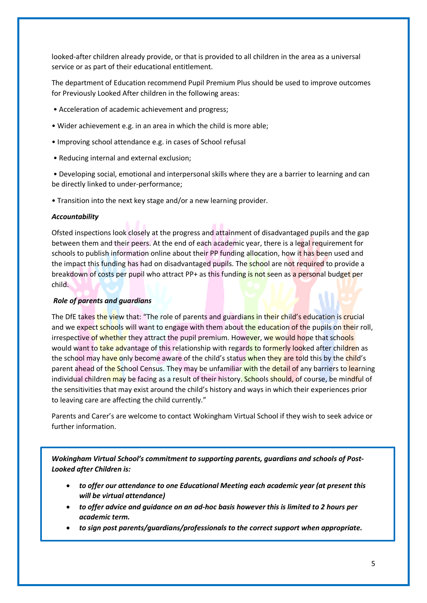looked-after children already provide, or that is provided to all children in the area as a universal service or as part of their educational entitlement.

The department of Education recommend Pupil Premium Plus should be used to improve outcomes for Previously Looked After children in the following areas:

- Acceleration of academic achievement and progress;
- Wider achievement e.g. in an area in which the child is more able;
- Improving school attendance e.g. in cases of School refusal
- Reducing internal and external exclusion;

• Developing social, emotional and interpersonal skills where they are a barrier to learning and can be directly linked to under-performance;

• Transition into the next key stage and/or a new learning provider.

#### *Accountability*

Ofsted inspections look closely at the progress and attainment of disadvantaged pupils and the gap between them and their peers. At the end of each academic year, there is a legal requirement for schools to publish information online about their PP funding allocation, how it has been used and the impact this funding has had on disadvantaged pupils. The school are not required to provide a breakdown of costs per pupil who attract PP+ as this funding is not seen as a personal budget per child.

#### *Role of parents and guardians*

The DfE takes the view that: "The role of parents and guardians in their child's education is crucial and we expect schools will want to engage with them about the education of the pupils on their roll, irrespective of whether they attract the pupil premium. However, we would hope that schools would want to take advantage of this relationship with regards to formerly looked after children as the school may have only become aware of the child's status when they are told this by the child's parent ahead of the School Census. They may be unfamiliar with the detail of any barriers to learning individual children may be facing as a result of their history. Schools should, of course, be mindful of the sensitivities that may exist around the child's history and ways in which their experiences prior to leaving care are affecting the child currently."

Parents and Carer's are welcome to contact Wokingham Virtual School if they wish to seek advice or further information.

*Wokingham Virtual School's commitment to supporting parents, guardians and schools of Post-Looked after Children is:*

- *to offer our attendance to one Educational Meeting each academic year (at present this will be virtual attendance)*
- *to offer advice and guidance on an ad-hoc basis however this is limited to 2 hours per academic term.*
- *to sign post parents/guardians/professionals to the correct support when appropriate.*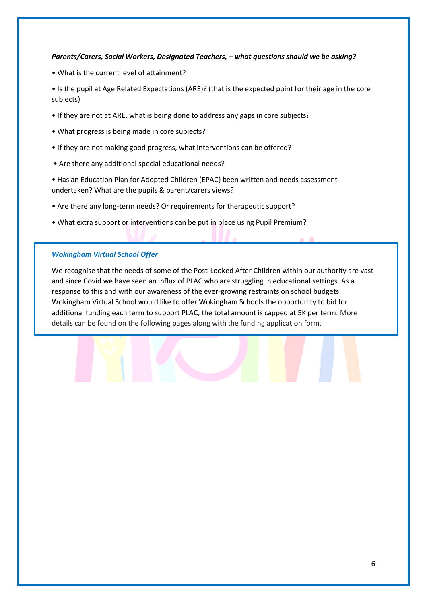#### *Parents/Carers, Social Workers, Designated Teachers, – what questions should we be asking?*

• What is the current level of attainment?

• Is the pupil at Age Related Expectations (ARE)? (that is the expected point for their age in the core subjects)

- If they are not at ARE, what is being done to address any gaps in core subjects?
- What progress is being made in core subjects?
- If they are not making good progress, what interventions can be offered?
- Are there any additional special educational needs?
- Has an Education Plan for Adopted Children (EPAC) been written and needs assessment undertaken? What are the pupils & parent/carers views?
- Are there any long-term needs? Or requirements for therapeutic support?
- What extra support or interventions can be put in place using Pupil Premium?

#### *Wokingham Virtual School Offer*

We recognise that the needs of some of the Post-Looked After Children within our authority are vast and since Covid we have seen an influx of PLAC who are struggling in educational settings. As a response to this and with our awareness of the ever-growing restraints on school budgets Wokingham Virtual School would like to offer Wokingham Schools the opportunity to bid for additional funding each term to support PLAC, the total amount is capped at 5K per term. More details can be found on the following pages along with the funding application form.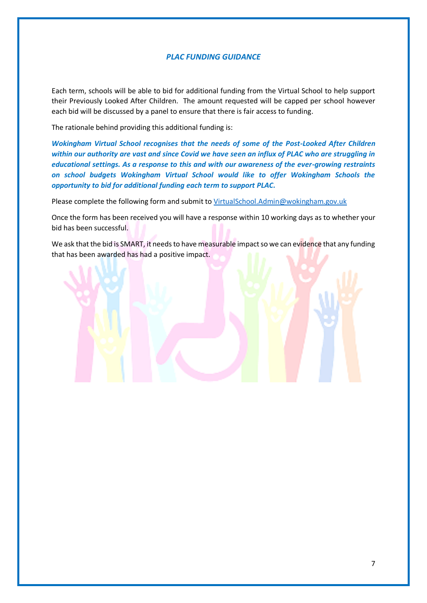### *PLAC FUNDING GUIDANCE*

Each term, schools will be able to bid for additional funding from the Virtual School to help support their Previously Looked After Children. The amount requested will be capped per school however each bid will be discussed by a panel to ensure that there is fair access to funding.

The rationale behind providing this additional funding is:

*Wokingham Virtual School recognises that the needs of some of the Post-Looked After Children within our authority are vast and since Covid we have seen an influx of PLAC who are struggling in educational settings. As a response to this and with our awareness of the ever-growing restraints on school budgets Wokingham Virtual School would like to offer Wokingham Schools the opportunity to bid for additional funding each term to support PLAC.*

Please complete the following form and submit to [VirtualSchool.Admin@wokingham.gov.uk](mailto:VirtualSchool.Admin@wokingham.gov.uk)

Once the form has been received you will have a response within 10 working days as to whether your bid has been successful.

We ask that the bid is SMART, it needs to have measurable impact so we can evidence that any funding that has been awarded has had a positive impact.

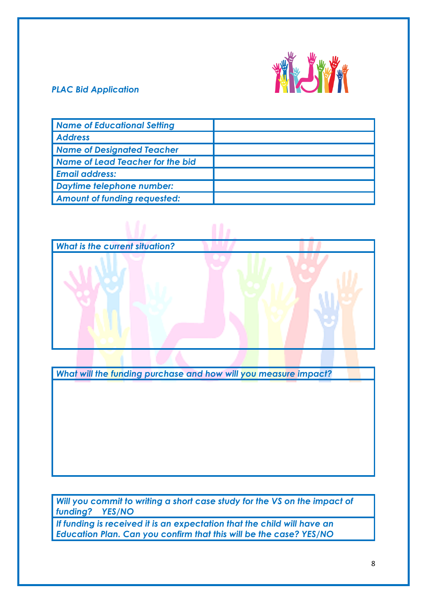

# *PLAC Bid Application*

| <b>Name of Educational Setting</b>  |  |
|-------------------------------------|--|
| <b>Address</b>                      |  |
| <b>Name of Designated Teacher</b>   |  |
| Name of Lead Teacher for the bid    |  |
| <b>Email address:</b>               |  |
| <b>Daytime telephone number:</b>    |  |
| <b>Amount of funding requested:</b> |  |



*What will the funding purchase and how will you measure impact?*

*Will you commit to writing a short case study for the VS on the impact of funding? YES/NO*

*If funding is received it is an expectation that the child will have an Education Plan. Can you confirm that this will be the case? YES/NO*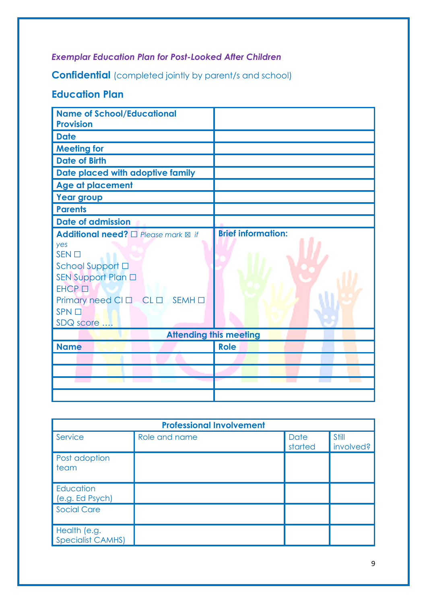# *Exemplar Education Plan for Post-Looked After Children*

**Confidential** (completed jointly by parent/s and school)

# **Education Plan**

| <b>Name of School/Educational</b><br><b>Provision</b>                                                                                                                                                 |                                   |  |  |  |
|-------------------------------------------------------------------------------------------------------------------------------------------------------------------------------------------------------|-----------------------------------|--|--|--|
| <b>Date</b>                                                                                                                                                                                           |                                   |  |  |  |
| <b>Meeting for</b>                                                                                                                                                                                    |                                   |  |  |  |
| <b>Date of Birth</b>                                                                                                                                                                                  |                                   |  |  |  |
| Date placed with adoptive family                                                                                                                                                                      |                                   |  |  |  |
| Age at placement                                                                                                                                                                                      |                                   |  |  |  |
| <b>Year group</b>                                                                                                                                                                                     |                                   |  |  |  |
| <b>Parents</b>                                                                                                                                                                                        |                                   |  |  |  |
| <b>Date of admission</b>                                                                                                                                                                              |                                   |  |  |  |
| Additional need? □ Please mark <b>⊠</b> if<br>yes<br>$SEN$ $\square$<br>School Support □<br>SEN Support Plan □<br>EHCP <sub>D</sub><br>Primary need CI O CL O SEMH O<br>SPN <sub>1</sub><br>SDQ score | <b>Brief information:</b>         |  |  |  |
| <b>Attending this meeting</b>                                                                                                                                                                         |                                   |  |  |  |
| <b>Name</b>                                                                                                                                                                                           | <b>Role</b>                       |  |  |  |
|                                                                                                                                                                                                       |                                   |  |  |  |
|                                                                                                                                                                                                       |                                   |  |  |  |
| and the control of                                                                                                                                                                                    | <b>Contract Contract Contract</b> |  |  |  |
|                                                                                                                                                                                                       |                                   |  |  |  |

| <b>Professional Involvement</b>          |               |                 |                    |  |  |
|------------------------------------------|---------------|-----------------|--------------------|--|--|
| Service                                  | Role and name | Date<br>started | Still<br>involved? |  |  |
| Post adoption<br>team                    |               |                 |                    |  |  |
| Education<br>(e.g. Ed Psych)             |               |                 |                    |  |  |
| <b>Social Care</b>                       |               |                 |                    |  |  |
| Health (e.g.<br><b>Specialist CAMHS)</b> |               |                 |                    |  |  |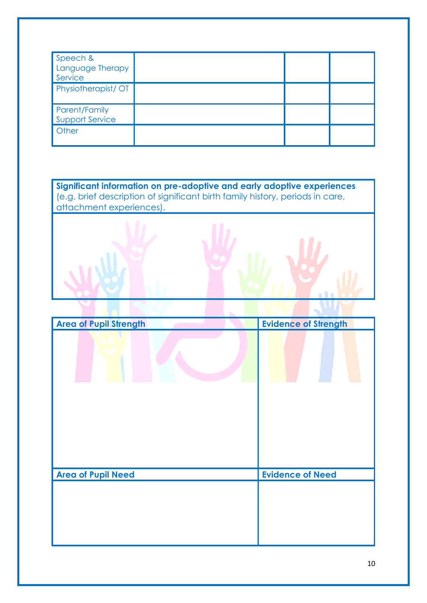| Speech &<br>Language Therapy<br>Service |  |  |
|-----------------------------------------|--|--|
| Physiotherapist/OT                      |  |  |
| Parent/Family<br><b>Support Service</b> |  |  |
| Other                                   |  |  |

**Significant information on pre-adoptive and early adoptive experiences** (e.g. brief description of significant birth family history, periods in care, attachment experiences).

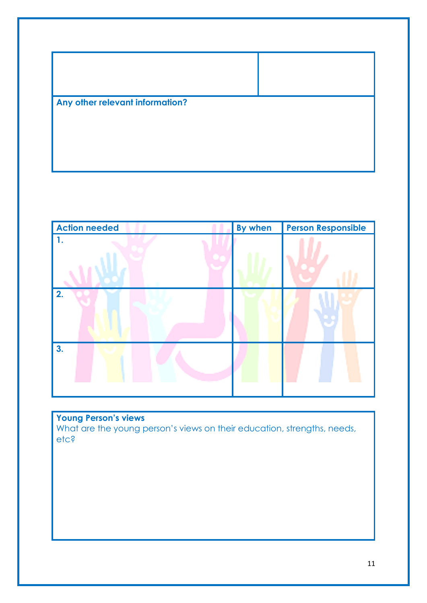



**Young Person's views**  What are the young person's views on their education, strengths, needs, etc?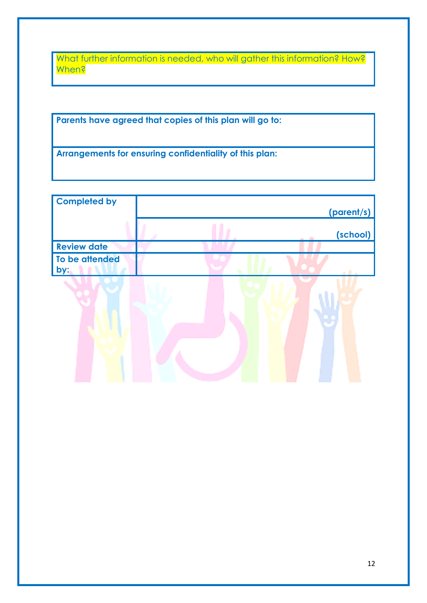What further information is needed, who will gather this information? How? When?

**Parents have agreed that copies of this plan will go to:**

**Arrangements for ensuring confidentiality of this plan:**

| <b>Completed by</b>   |  |            |
|-----------------------|--|------------|
|                       |  | (parent/s) |
|                       |  | (school)   |
| <b>Review date</b>    |  |            |
| To be attended<br>by: |  |            |
|                       |  |            |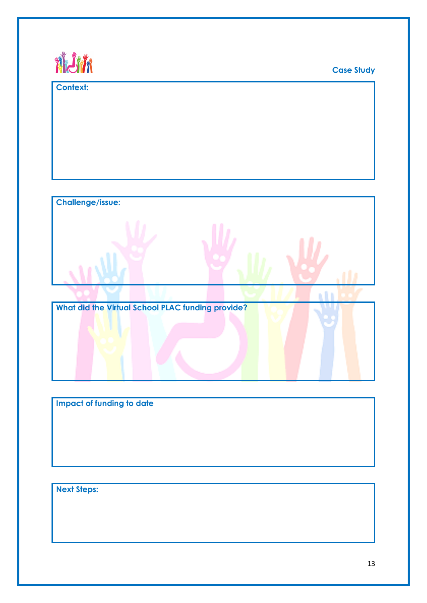